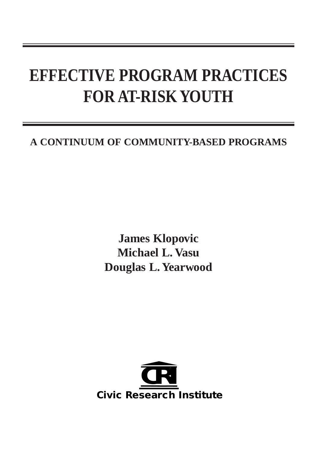# **EFFECTIVE PROGRAM PRACTICES FOR AT-RISK YOUTH**

**A CONTINUUM OF COMMUNITY-BASED PROGRAMS**

**James Klopovic Michael L. Vasu Douglas L. Yearwood**

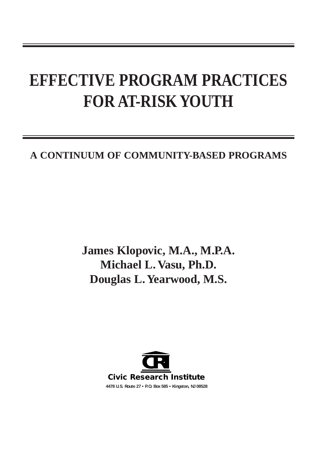# **EFFECTIVE PROGRAM PRACTICES FOR AT-RISK YOUTH**

## **A CONTINUUM OF COMMUNITY-BASED PROGRAMS**

**James Klopovic, M.A., M.P.A. Michael L. Vasu, Ph.D. Douglas L. Yearwood, M.S.**

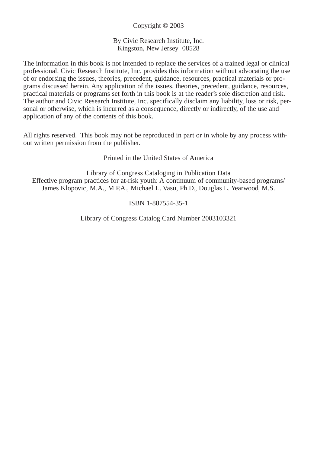### Copyright © 2003

#### By Civic Research Institute, Inc. Kingston, New Jersey 08528

The information in this book is not intended to replace the services of a trained legal or clinical professional. Civic Research Institute, Inc. provides this information without advocating the use of or endorsing the issues, theories, precedent, guidance, resources, practical materials or programs discussed herein. Any application of the issues, theories, precedent, guidance, resources, practical materials or programs set forth in this book is at the reader's sole discretion and risk. The author and Civic Research Institute, Inc. specifically disclaim any liability, loss or risk, personal or otherwise, which is incurred as a consequence, directly or indirectly, of the use and application of any of the contents of this book.

All rights reserved. This book may not be reproduced in part or in whole by any process without written permission from the publisher.

#### Printed in the United States of America

Library of Congress Cataloging in Publication Data Effective program practices for at-risk youth: A continuum of community-based programs/ James Klopovic, M.A., M.P.A., Michael L. Vasu, Ph.D., Douglas L. Yearwood, M.S.

#### ISBN 1-887554-35-1

Library of Congress Catalog Card Number 2003103321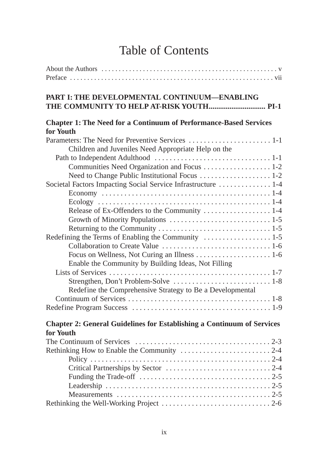## Table of Contents

| PART I: THE DEVELOPMENTAL CONTINUUM-ENABLING                                          |
|---------------------------------------------------------------------------------------|
| <b>Chapter 1: The Need for a Continuum of Performance-Based Services</b><br>for Youth |
| Children and Juveniles Need Appropriate Help on the                                   |
|                                                                                       |
| Societal Factors Impacting Social Service Infrastructure  1-4                         |
|                                                                                       |
| Enable the Community by Building Ideas, Not Filling                                   |
| Redefine the Comprehensive Strategy to Be a Developmental                             |
| <b>Chapter 2: General Guidelines for Establishing a Continuum of Services</b>         |
| for Youth                                                                             |
|                                                                                       |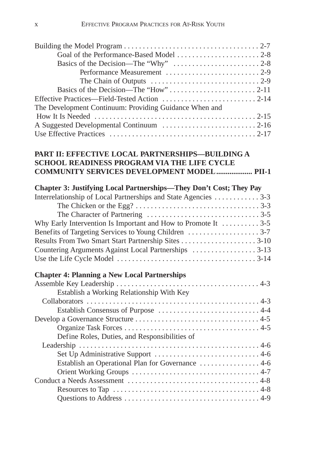| The Development Continuum: Providing Guidance When and                            |  |
|-----------------------------------------------------------------------------------|--|
|                                                                                   |  |
|                                                                                   |  |
|                                                                                   |  |
|                                                                                   |  |
| PART II: EFFECTIVE LOCAL PARTNERSHIPS-BUILDING A                                  |  |
| <b>SCHOOL READINESS PROGRAM VIA THE LIFE CYCLE</b>                                |  |
| <b>COMMUNITY SERVICES DEVELOPMENT MODEL PII-1</b>                                 |  |
|                                                                                   |  |
| <b>Chapter 3: Justifying Local Partnerships—They Don't Cost; They Pay</b>         |  |
| Interrelationship of Local Partnerships and State Agencies  3-3                   |  |
|                                                                                   |  |
|                                                                                   |  |
| Why Early Intervention Is Important and How to Promote It $\dots \dots \dots$ 3-5 |  |
|                                                                                   |  |
|                                                                                   |  |
| Countering Arguments Against Local Partnerships 3-13                              |  |
|                                                                                   |  |
|                                                                                   |  |
| <b>Chapter 4: Planning a New Local Partnerships</b>                               |  |
|                                                                                   |  |
| Establish a Working Relationship With Key                                         |  |
|                                                                                   |  |
|                                                                                   |  |
|                                                                                   |  |
|                                                                                   |  |
| Define Roles, Duties, and Responsibilities of                                     |  |
|                                                                                   |  |
| Set Up Administrative Support  4-6                                                |  |
| Establish an Operational Plan for Governance  4-6                                 |  |
|                                                                                   |  |
|                                                                                   |  |
|                                                                                   |  |
|                                                                                   |  |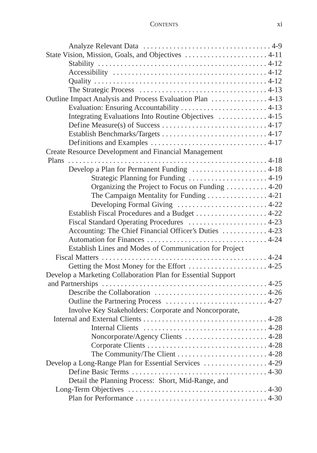### CONTENTS xi

| Outline Impact Analysis and Process Evaluation Plan  4-13    |  |
|--------------------------------------------------------------|--|
|                                                              |  |
| Integrating Evaluations Into Routine Objectives  4-15        |  |
|                                                              |  |
|                                                              |  |
|                                                              |  |
| Create Resource Development and Financial Management         |  |
| Plans                                                        |  |
| Develop a Plan for Permanent Funding  4-18                   |  |
| Strategic Planning for Funding  4-19                         |  |
| Organizing the Project to Focus on Funding  4-20             |  |
| The Campaign Mentality for Funding  4-21                     |  |
| Developing Formal Giving  4-22                               |  |
| Establish Fiscal Procedures and a Budget  4-22               |  |
| Fiscal Standard Operating Procedures  4-23                   |  |
| Accounting: The Chief Financial Officer's Duties  4-23       |  |
|                                                              |  |
| Establish Lines and Modes of Communication for Project       |  |
|                                                              |  |
|                                                              |  |
| Develop a Marketing Collaboration Plan for Essential Support |  |
|                                                              |  |
|                                                              |  |
|                                                              |  |
| Involve Key Stakeholders: Corporate and Noncorporate,        |  |
|                                                              |  |
|                                                              |  |
| Noncorporate/Agency Clients  4-28                            |  |
|                                                              |  |
| The Community/The Client  4-28                               |  |
| Develop a Long-Range Plan for Essential Services  4-29       |  |
|                                                              |  |
| Detail the Planning Process: Short, Mid-Range, and           |  |
|                                                              |  |
|                                                              |  |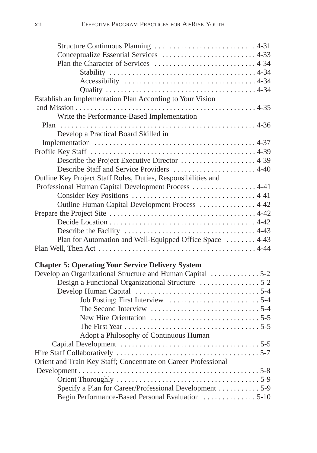| Conceptualize Essential Services  4-33                                                       |  |
|----------------------------------------------------------------------------------------------|--|
|                                                                                              |  |
|                                                                                              |  |
|                                                                                              |  |
|                                                                                              |  |
| Establish an Implementation Plan According to Your Vision                                    |  |
|                                                                                              |  |
| Write the Performance-Based Implementation                                                   |  |
|                                                                                              |  |
| Develop a Practical Board Skilled in                                                         |  |
|                                                                                              |  |
|                                                                                              |  |
| Describe the Project Executive Director  4-39                                                |  |
| Describe Staff and Service Providers  4-40                                                   |  |
| Outline Key Project Staff Roles, Duties, Responsibilities and                                |  |
| Professional Human Capital Development Process 4-41                                          |  |
|                                                                                              |  |
| Outline Human Capital Development Process  4-42                                              |  |
|                                                                                              |  |
|                                                                                              |  |
|                                                                                              |  |
| Plan for Automation and Well-Equipped Office Space  4-43                                     |  |
|                                                                                              |  |
|                                                                                              |  |
| <b>Chapter 5: Operating Your Service Delivery System</b>                                     |  |
| Develop an Organizational Structure and Human Capital 5-2                                    |  |
|                                                                                              |  |
|                                                                                              |  |
|                                                                                              |  |
|                                                                                              |  |
|                                                                                              |  |
| The First Year $\dots \dots \dots \dots \dots \dots \dots \dots \dots \dots \dots \dots 5-5$ |  |
| Adopt a Philosophy of Continuous Human                                                       |  |
|                                                                                              |  |
|                                                                                              |  |
| Orient and Train Key Staff; Concentrate on Career Professional                               |  |
|                                                                                              |  |
|                                                                                              |  |
| Specify a Plan for Career/Professional Development  5-9                                      |  |
| Begin Performance-Based Personal Evaluation  5-10                                            |  |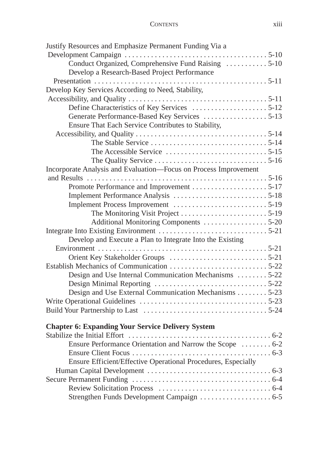| Justify Resources and Emphasize Permanent Funding Via a          |  |
|------------------------------------------------------------------|--|
|                                                                  |  |
| Conduct Organized, Comprehensive Fund Raising  5-10              |  |
| Develop a Research-Based Project Performance                     |  |
|                                                                  |  |
| Develop Key Services According to Need, Stability,               |  |
|                                                                  |  |
|                                                                  |  |
|                                                                  |  |
| Ensure That Each Service Contributes to Stability,               |  |
|                                                                  |  |
|                                                                  |  |
|                                                                  |  |
|                                                                  |  |
| Incorporate Analysis and Evaluation-Focus on Process Improvement |  |
|                                                                  |  |
|                                                                  |  |
|                                                                  |  |
|                                                                  |  |
|                                                                  |  |
|                                                                  |  |
|                                                                  |  |
| Develop and Execute a Plan to Integrate Into the Existing        |  |
|                                                                  |  |
|                                                                  |  |
|                                                                  |  |
| Design and Use Internal Communication Mechanisms 5-22            |  |
|                                                                  |  |
| Design and Use External Communication Mechanisms 5-23            |  |
|                                                                  |  |
|                                                                  |  |
|                                                                  |  |
| <b>Chapter 6: Expanding Your Service Delivery System</b>         |  |
|                                                                  |  |
| Ensure Performance Orientation and Narrow the Scope  6-2         |  |
|                                                                  |  |
| Ensure Efficient/Effective Operational Procedures, Especially    |  |
|                                                                  |  |
|                                                                  |  |
|                                                                  |  |
|                                                                  |  |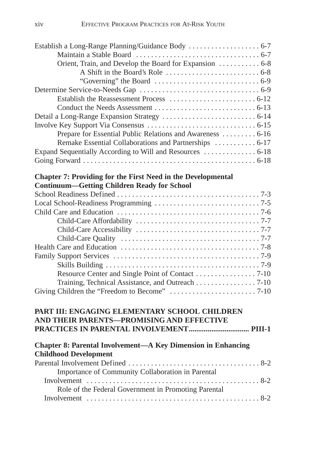| Prepare for Essential Public Relations and Awareness  6-16 |  |
|------------------------------------------------------------|--|
| Remake Essential Collaborations and Partnerships  6-17     |  |
|                                                            |  |
|                                                            |  |

## **Chapter 7: Providing for the First Need in the Developmental Continuum—Getting Children Ready for School**

| Resource Center and Single Point of Contact 7-10  |  |
|---------------------------------------------------|--|
| Training, Technical Assistance, and Outreach 7-10 |  |
|                                                   |  |

### **PART III: ENGAGING ELEMENTARY SCHOOL CHILDREN AND THEIR PARENTS—PROMISING AND EFFECTIVE PRACTICES IN PARENTAL INVOLVEMENT................................ PIII-1**

## **Chapter 8: Parental Involvement—A Key Dimension in Enhancing Childhood Development**

| Importance of Community Collaboration in Parental                                                 |  |
|---------------------------------------------------------------------------------------------------|--|
| Involvement $\ldots \ldots \ldots \ldots \ldots \ldots \ldots \ldots \ldots \ldots \ldots \ldots$ |  |
| Role of the Federal Government in Promoting Parental                                              |  |
|                                                                                                   |  |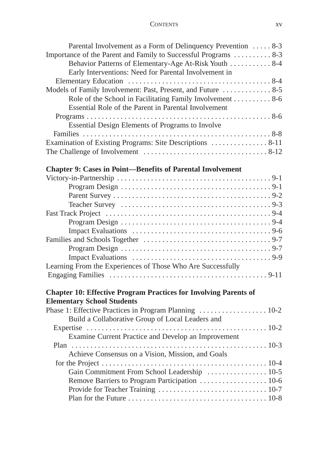| Parental Involvement as a Form of Delinquency Prevention  8-3                                                     |  |
|-------------------------------------------------------------------------------------------------------------------|--|
| Importance of the Parent and Family to Successful Programs  8-3                                                   |  |
| Behavior Patterns of Elementary-Age At-Risk Youth  8-4                                                            |  |
| Early Interventions: Need for Parental Involvement in                                                             |  |
|                                                                                                                   |  |
|                                                                                                                   |  |
| Role of the School in Facilitating Family Involvement 8-6                                                         |  |
| Essential Role of the Parent in Parental Involvement                                                              |  |
|                                                                                                                   |  |
| <b>Essential Design Elements of Programs to Involve</b>                                                           |  |
|                                                                                                                   |  |
|                                                                                                                   |  |
| The Challenge of Involvement $\dots \dots \dots \dots \dots \dots \dots \dots \dots \dots \dots \dots \dots$ 8-12 |  |
| <b>Chapter 9: Cases in Point—Benefits of Parental Involvement</b>                                                 |  |
|                                                                                                                   |  |
|                                                                                                                   |  |
|                                                                                                                   |  |
|                                                                                                                   |  |
|                                                                                                                   |  |
|                                                                                                                   |  |
|                                                                                                                   |  |
|                                                                                                                   |  |
|                                                                                                                   |  |
|                                                                                                                   |  |
| Learning From the Experiences of Those Who Are Successfully                                                       |  |
|                                                                                                                   |  |
| <b>Chapter 10: Effective Program Practices for Involving Parents of</b>                                           |  |
| <b>Elementary School Students</b>                                                                                 |  |
|                                                                                                                   |  |
| Build a Collaborative Group of Local Leaders and                                                                  |  |
|                                                                                                                   |  |
| Examine Current Practice and Develop an Improvement                                                               |  |
|                                                                                                                   |  |
| Achieve Consensus on a Vision, Mission, and Goals                                                                 |  |
|                                                                                                                   |  |
| Gain Commitment From School Leadership  10-5                                                                      |  |
|                                                                                                                   |  |
|                                                                                                                   |  |
|                                                                                                                   |  |
|                                                                                                                   |  |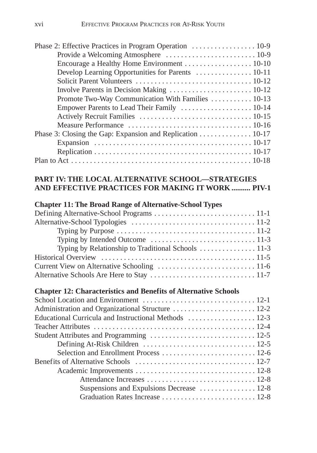| Encourage a Healthy Home Environment 10-10                |  |
|-----------------------------------------------------------|--|
|                                                           |  |
|                                                           |  |
|                                                           |  |
| Promote Two-Way Communication With Families  10-13        |  |
|                                                           |  |
|                                                           |  |
|                                                           |  |
| Phase 3: Closing the Gap: Expansion and Replication 10-17 |  |
|                                                           |  |
|                                                           |  |
|                                                           |  |

## **PART IV: THE LOCAL ALTERNATIVE SCHOOL—STRATEGIES AND EFFECTIVE PRACTICES FOR MAKING IT WORK .......... PIV-1**

| <b>Chapter 11: The Broad Range of Alternative-School Types</b>         |  |
|------------------------------------------------------------------------|--|
|                                                                        |  |
|                                                                        |  |
|                                                                        |  |
|                                                                        |  |
|                                                                        |  |
|                                                                        |  |
|                                                                        |  |
|                                                                        |  |
| <b>Chapter 12: Characteristics and Benefits of Alternative Schools</b> |  |
|                                                                        |  |
| Administration and Organizational Structure  12-2                      |  |
|                                                                        |  |
|                                                                        |  |
|                                                                        |  |
|                                                                        |  |
|                                                                        |  |
|                                                                        |  |
|                                                                        |  |
|                                                                        |  |
| Suspensions and Expulsions Decrease  12-8                              |  |
|                                                                        |  |
|                                                                        |  |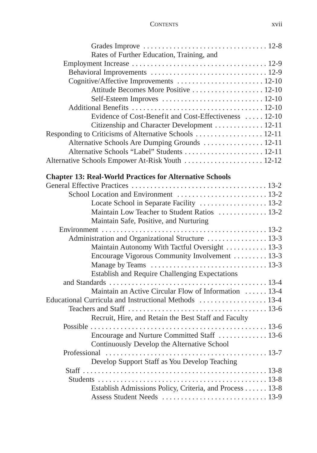| Rates of Further Education, Training, and                       |  |
|-----------------------------------------------------------------|--|
|                                                                 |  |
|                                                                 |  |
|                                                                 |  |
| Attitude Becomes More Positive  12-10                           |  |
|                                                                 |  |
|                                                                 |  |
| Evidence of Cost-Benefit and Cost-Effectiveness  12-10          |  |
| Citizenship and Character Development 12-11                     |  |
|                                                                 |  |
| Alternative Schools Are Dumping Grounds  12-11                  |  |
| Alternative Schools "Label" Students  12-11                     |  |
|                                                                 |  |
| <b>Chapter 13: Real-World Practices for Alternative Schools</b> |  |
|                                                                 |  |
|                                                                 |  |
|                                                                 |  |
| Maintain Low Teacher to Student Ratios  13-2                    |  |
| Maintain Safe, Positive, and Nurturing                          |  |
|                                                                 |  |
| Administration and Organizational Structure  13-3               |  |
| Maintain Autonomy With Tactful Oversight  13-3                  |  |
| Encourage Vigorous Community Involvement 13-3                   |  |
|                                                                 |  |
| <b>Establish and Require Challenging Expectations</b>           |  |
|                                                                 |  |
| Maintain an Active Circular Flow of Information  13-4           |  |
| Educational Curricula and Instructional Methods  13-4           |  |
|                                                                 |  |
| Recruit, Hire, and Retain the Best Staff and Faculty            |  |
|                                                                 |  |
| Encourage and Nurture Committed Staff  13-6                     |  |
| Continuously Develop the Alternative School                     |  |
|                                                                 |  |
| Develop Support Staff as You Develop Teaching                   |  |
|                                                                 |  |
|                                                                 |  |
| Establish Admissions Policy, Criteria, and Process 13-8         |  |
|                                                                 |  |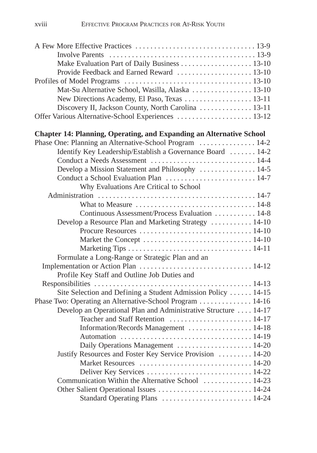| Mat-Su Alternative School, Wasilla, Alaska  13-10                           |  |
|-----------------------------------------------------------------------------|--|
|                                                                             |  |
| Discovery II, Jackson County, North Carolina  13-11                         |  |
|                                                                             |  |
| <b>Chapter 14: Planning, Operating, and Expanding an Alternative School</b> |  |
| Phase One: Planning an Alternative-School Program  14-2                     |  |
| Identify Key Leadership/Establish a Governance Board  14-2                  |  |
|                                                                             |  |
| Develop a Mission Statement and Philosophy  14-5                            |  |
| Conduct a School Evaluation Plan  14-7                                      |  |
| Why Evaluations Are Critical to School                                      |  |
|                                                                             |  |
|                                                                             |  |
| Continuous Assessment/Process Evaluation 14-8                               |  |
| Develop a Resource Plan and Marketing Strategy  14-10                       |  |
|                                                                             |  |
|                                                                             |  |
|                                                                             |  |
| Formulate a Long-Range or Strategic Plan and an                             |  |
|                                                                             |  |
| Profile Key Staff and Outline Job Duties and                                |  |
|                                                                             |  |
| Site Selection and Defining a Student Admission Policy  14-15               |  |
| Phase Two: Operating an Alternative-School Program 14-16                    |  |
| Develop an Operational Plan and Administrative Structure  14-17             |  |
| Teacher and Staff Retention  14-17                                          |  |
| Information/Records Management  14-18                                       |  |
|                                                                             |  |
| Daily Operations Management  14-20                                          |  |
| Justify Resources and Foster Key Service Provision  14-20                   |  |
|                                                                             |  |
|                                                                             |  |
| Communication Within the Alternative School  14-23                          |  |
|                                                                             |  |
| Standard Operating Plans  14-24                                             |  |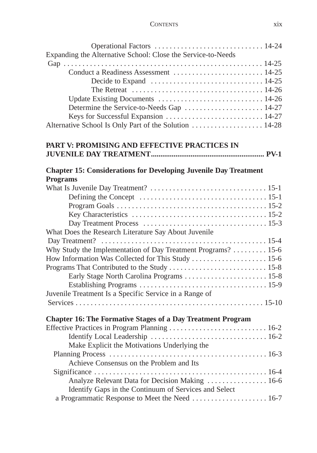### CONTENTS xix

| Expanding the Alternative School: Close the Service-to-Needs            |  |
|-------------------------------------------------------------------------|--|
|                                                                         |  |
| Conduct a Readiness Assessment  14-25                                   |  |
|                                                                         |  |
|                                                                         |  |
| Update Existing Documents  14-26                                        |  |
|                                                                         |  |
| Keys for Successful Expansion  14-27                                    |  |
| Alternative School Is Only Part of the Solution 14-28                   |  |
| <b>PART V: PROMISING AND EFFECTIVE PRACTICES IN</b>                     |  |
|                                                                         |  |
| <b>Chapter 15: Considerations for Developing Juvenile Day Treatment</b> |  |
| <b>Programs</b>                                                         |  |
|                                                                         |  |
|                                                                         |  |
|                                                                         |  |
|                                                                         |  |
|                                                                         |  |
| What Does the Research Literature Say About Juvenile                    |  |
|                                                                         |  |
| Why Study the Implementation of Day Treatment Programs?  15-6           |  |
| How Information Was Collected for This Study  15-6                      |  |
|                                                                         |  |
| Early Stage North Carolina Programs  15-8                               |  |
|                                                                         |  |
| Juvenile Treatment Is a Specific Service in a Range of                  |  |
|                                                                         |  |
| <b>Chapter 16: The Formative Stages of a Day Treatment Program</b>      |  |
| Effective Practices in Program Planning  16-2                           |  |
|                                                                         |  |
| Make Explicit the Motivations Underlying the                            |  |
|                                                                         |  |
| Achieve Consensus on the Problem and Its                                |  |
|                                                                         |  |
| Analyze Relevant Data for Decision Making  16-6                         |  |
| Identify Gaps in the Continuum of Services and Select                   |  |
| a Programmatic Response to Meet the Need  16-7                          |  |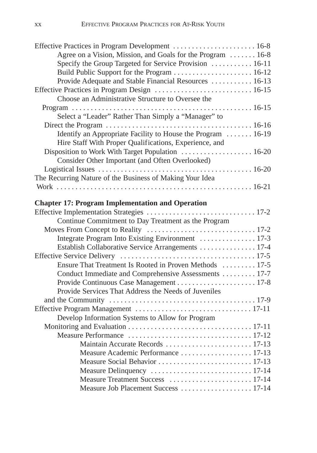| Agree on a Vision, Mission, and Goals for the Program  16-8                                                           |
|-----------------------------------------------------------------------------------------------------------------------|
| Specify the Group Targeted for Service Provision  16-11                                                               |
| Build Public Support for the Program  16-12                                                                           |
| Provide Adequate and Stable Financial Resources  16-13                                                                |
|                                                                                                                       |
| Choose an Administrative Structure to Oversee the                                                                     |
|                                                                                                                       |
| Select a "Leader" Rather Than Simply a "Manager" to                                                                   |
| Direct the Program $\ldots \ldots \ldots \ldots \ldots \ldots \ldots \ldots \ldots \ldots \ldots \ldots \ldots 16-16$ |
| Identify an Appropriate Facility to House the Program  16-19                                                          |
| Hire Staff With Proper Qualifications, Experience, and                                                                |
|                                                                                                                       |
| Consider Other Important (and Often Overlooked)                                                                       |
|                                                                                                                       |
| The Recurring Nature of the Business of Making Your Idea                                                              |
|                                                                                                                       |
|                                                                                                                       |

## **Chapter 17: Program Implementation and Operation**

| Continue Commitment to Day Treatment as the Program     |  |
|---------------------------------------------------------|--|
|                                                         |  |
|                                                         |  |
| Establish Collaborative Service Arrangements 17-4       |  |
|                                                         |  |
| Ensure That Treatment Is Rooted in Proven Methods  17-5 |  |
| Conduct Immediate and Comprehensive Assessments  17-7   |  |
|                                                         |  |
| Provide Services That Address the Needs of Juveniles    |  |
|                                                         |  |
|                                                         |  |
| Develop Information Systems to Allow for Program        |  |
|                                                         |  |
|                                                         |  |
|                                                         |  |
|                                                         |  |
|                                                         |  |
|                                                         |  |
|                                                         |  |
|                                                         |  |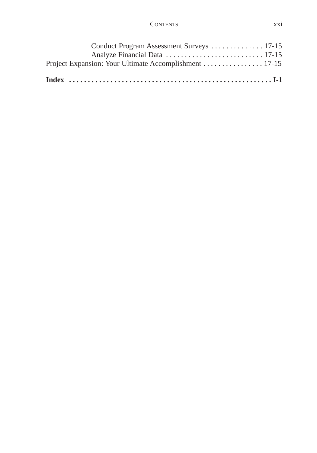| Project Expansion: Your Ultimate Accomplishment 17-15 |  |
|-------------------------------------------------------|--|
|                                                       |  |
| Conduct Program Assessment Surveys 17-15              |  |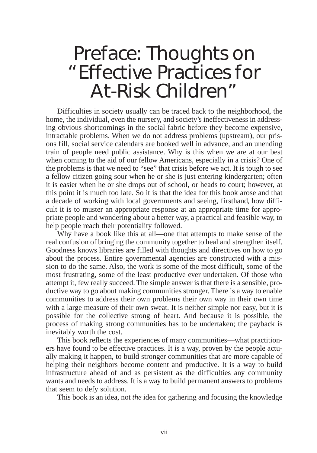## Preface: Thoughts on "Effective Practices for At-Risk Children"

Difficulties in society usually can be traced back to the neighborhood, the home, the individual, even the nursery, and society's ineffectiveness in addressing obvious shortcomings in the social fabric before they become expensive, intractable problems. When we do not address problems (upstream), our prisons fill, social service calendars are booked well in advance, and an unending train of people need public assistance. Why is this when we are at our best when coming to the aid of our fellow Americans, especially in a crisis? One of the problems is that we need to "see" that crisis before we act. It is tough to see a fellow citizen going sour when he or she is just entering kindergarten; often it is easier when he or she drops out of school, or heads to court; however, at this point it is much too late. So it is that the idea for this book arose and that a decade of working with local governments and seeing, firsthand, how difficult it is to muster an appropriate response at an appropriate time for appropriate people and wondering about a better way, a practical and feasible way, to help people reach their potentiality followed.

Why have a book like this at all—one that attempts to make sense of the real confusion of bringing the community together to heal and strengthen itself. Goodness knows libraries are filled with thoughts and directives on how to go about the process. Entire governmental agencies are constructed with a mission to do the same. Also, the work is some of the most difficult, some of the most frustrating, some of the least productive ever undertaken. Of those who attempt it, few really succeed. The simple answer is that there is a sensible, productive way to go about making communities stronger. There is a way to enable communities to address their own problems their own way in their own time with a large measure of their own sweat. It is neither simple nor easy, but it is possible for the collective strong of heart. And because it is possible, the process of making strong communities has to be undertaken; the payback is inevitably worth the cost.

This book reflects the experiences of many communities—what practitioners have found to be effective practices. It is a way, proven by the people actually making it happen, to build stronger communities that are more capable of helping their neighbors become content and productive. It is a way to build infrastructure ahead of and as persistent as the difficulties any community wants and needs to address. It is a way to build permanent answers to problems that seem to defy solution.

This book is an idea, not *the* idea for gathering and focusing the knowledge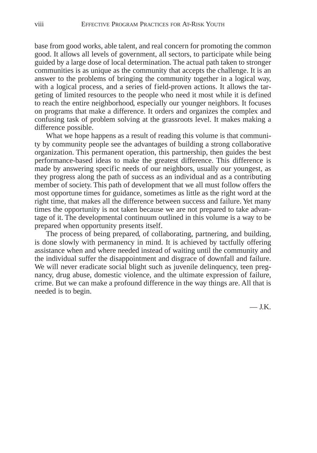base from good works, able talent, and real concern for promoting the common good. It allows all levels of government, all sectors, to participate while being guided by a large dose of local determination. The actual path taken to stronger communities is as unique as the community that accepts the challenge. It is an answer to the problems of bringing the community together in a logical way, with a logical process, and a series of field-proven actions. It allows the targeting of limited resources to the people who need it most while it is defined to reach the entire neighborhood, especially our younger neighbors. It focuses on programs that make a difference. It orders and organizes the complex and confusing task of problem solving at the grassroots level. It makes making a difference possible.

What we hope happens as a result of reading this volume is that community by community people see the advantages of building a strong collaborative organization. This permanent operation, this partnership, then guides the best performance-based ideas to make the greatest difference. This difference is made by answering specific needs of our neighbors, usually our youngest, as they progress along the path of success as an individual and as a contributing member of society. This path of development that we all must follow offers the most opportune times for guidance, sometimes as little as the right word at the right time, that makes all the difference between success and failure. Yet many times the opportunity is not taken because we are not prepared to take advantage of it. The developmental continuum outlined in this volume is a way to be prepared when opportunity presents itself.

The process of being prepared, of collaborating, partnering, and building, is done slowly with permanency in mind. It is achieved by tactfully offering assistance when and where needed instead of waiting until the community and the individual suffer the disappointment and disgrace of downfall and failure. We will never eradicate social blight such as juvenile delinquency, teen pregnancy, drug abuse, domestic violence, and the ultimate expression of failure, crime. But we can make a profound difference in the way things are. All that is needed is to begin.

 $-$  J.K.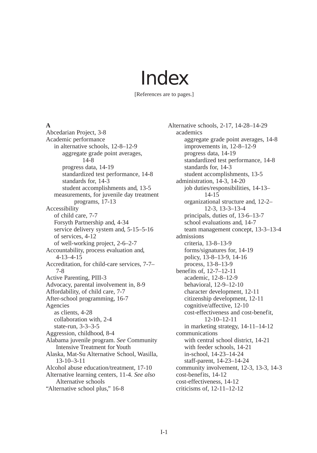## Index

[References are to pages.]

#### **A**

Abcedarian Project, 3-8 Academic performance in alternative schools, 12-8–12-9 aggregate grade point averages, 14-8 progress data, 14-19 standardized test performance, 14-8 standards for, 14-3 student accomplishments and, 13-5 measurements, for juvenile day treatment programs, 17-13 Accessibility of child care, 7-7 Forsyth Partnership and, 4-34 service delivery system and, 5-15–5-16 of services, 4-12 of well-working project, 2-6–2-7 Accountability, process evaluation and, 4-13–4-15 Accreditation, for child-care services, 7-7– 7-8 Active Parenting, PIII-3 Advocacy, parental involvement in, 8-9 Affordability, of child care, 7-7 After-school programming, 16-7 Agencies as clients, 4-28 collaboration with, 2-4 state-run, 3-3–3-5 Aggression, childhood, 8-4 Alabama juvenile program. *See* Community Intensive Treatment for Youth Alaska, Mat-Su Alternative School, Wasilla, 13-10–3-11 Alcohol abuse education/treatment, 17-10 Alternative learning centers, 11-4. *See also* Alternative schools "Alternative school plus," 16-8

Alternative schools, 2-17, 14-28–14-29 academics aggregate grade point averages, 14-8 improvements in, 12-8–12-9 progress data, 14-19 standardized test performance, 14-8 standards for, 14-3 student accomplishments, 13-5 administration, 14-3, 14-20 job duties/responsibilities, 14-13– 14-15 organizational structure and, 12-2– 12-3, 13-3–13-4 principals, duties of, 13-6–13-7 school evaluations and, 14-7 team management concept, 13-3–13-4 admissions criteria, 13-8–13-9 forms/signatures for, 14-19 policy, 13-8–13-9, 14-16 process, 13-8–13-9 benefits of, 12-7–12-11 academic, 12-8–12-9 behavioral, 12-9–12-10 character development, 12-11 citizenship development, 12-11 cognitive/affective, 12-10 cost-effectiveness and cost-benefit, 12-10–12-11 in marketing strategy, 14-11–14-12 communications with central school district, 14-21 with feeder schools, 14-21 in-school, 14-23–14-24 staff-parent, 14-23–14-24 community involvement, 12-3, 13-3, 14-3 cost-benefits, 14-12 cost-effectiveness, 14-12 criticisms of, 12-11–12-12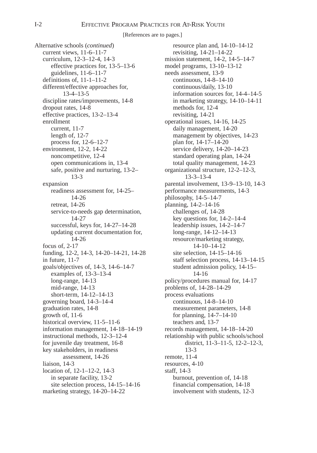Alternative schools (*continued*) current views, 11-6–11-7 curriculum, 12-3–12-4, 14-3 effective practices for, 13-5–13-6 guidelines, 11-6–11-7 definitions of, 11-1–11-2 different/effective approaches for, 13-4–13-5 discipline rates/improvements, 14-8 dropout rates, 14-8 effective practices, 13-2–13-4 enrollment current, 11-7 length of, 12-7 process for, 12-6–12-7 environment, 12-2, 14-22 noncompetitive, 12-4 open communications in, 13-4 safe, positive and nurturing, 13-2– 13-3 expansion readiness assessment for, 14-25– 14-26 retreat, 14-26 service-to-needs gap determination, 14-27 successful, keys for, 14-27–14-28 updating current documentation for, 14-26 focus of, 2-17 funding, 12-2, 14-3, 14-20–14-21, 14-28 in future, 11-7 goals/objectives of, 14-3, 14-6–14-7 examples of, 13-3–13-4 long-range, 14-13 mid-range, 14-13 short-term, 14-12–14-13 governing board, 14-3–14-4 graduation rates, 14-8 growth of, 11-6 historical overview, 11-5–11-6 information management, 14-18–14-19 instructional methods, 12-3–12-4 for juvenile day treatment, 16-8 key stakeholders, in readiness assessment, 14-26 liaison, 14-3 location of, 12-1–12-2, 14-3 in separate facility, 13-2 site selection process, 14-15–14-16 marketing strategy, 14-20–14-22

resource plan and, 14-10–14-12 revisiting, 14-21–14-22 mission statement, 14-2, 14-5–14-7 model programs, 13-10–13-12 needs assessment, 13-9 continuous, 14-8–14-10 continuous/daily, 13-10 information sources for, 14-4–14-5 in marketing strategy, 14-10–14-11 methods for, 12-4 revisiting, 14-21 operational issues, 14-16, 14-25 daily management, 14-20 management by objectives, 14-23 plan for, 14-17–14-20 service delivery, 14-20–14-23 standard operating plan, 14-24 total quality management, 14-23 organizational structure, 12-2–12-3, 13-3–13-4 parental involvement, 13-9–13-10, 14-3 performance measurements, 14-3 philosophy, 14-5–14-7 planning, 14-2–14-16 challenges of, 14-28 key questions for, 14-2–14-4 leadership issues, 14-2–14-7 long-range, 14-12–14-13 resource/marketing strategy, 14-10–14-12 site selection, 14-15–14-16 staff selection process, 14-13–14-15 student admission policy, 14-15– 14-16 policy/procedures manual for, 14-17 problems of, 14-28–14-29 process evaluations continuous, 14-8–14-10 measurement parameters, 14-8 for planning, 14-7–14-10 teachers and, 13-7 records management, 14-18–14-20 relationship with public schools/school district, 11-3–11-5, 12-2–12-3, 13-3 remote, 11-4 resources, 4-10 staff, 14-3 burnout, prevention of, 14-18 financial compensation, 14-18 involvement with students, 12-3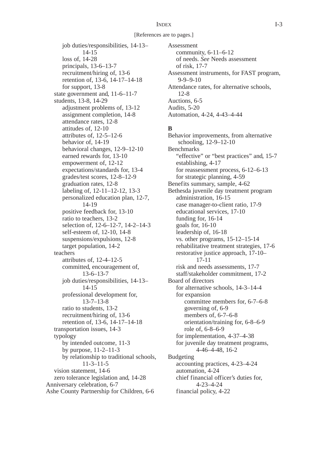job duties/responsibilities, 14-13– 14-15 loss of, 14-28 principals, 13-6–13-7 recruitment/hiring of, 13-6 retention of, 13-6, 14-17–14-18 for support, 13-8 state government and, 11-6–11-7 students, 13-8, 14-29 adjustment problems of, 13-12 assignment completion, 14-8 attendance rates, 12-8 attitudes of, 12-10 attributes of, 12-5–12-6 behavior of, 14-19 behavioral changes, 12-9–12-10 earned rewards for, 13-10 empowerment of, 12-12 expectations/standards for, 13-4 grades/test scores, 12-8–12-9 graduation rates, 12-8 labeling of, 12-11–12-12, 13-3 personalized education plan, 12-7, 14-19 positive feedback for, 13-10 ratio to teachers, 13-2 selection of, 12-6–12-7, 14-2–14-3 self-esteem of, 12-10, 14-8 suspensions/expulsions, 12-8 target population, 14-2 teachers attributes of, 12-4–12-5 committed, encouragement of, 13-6–13-7 job duties/responsibilities, 14-13– 14-15 professional development for, 13-7–13-8 ratio to students, 13-2 recruitment/hiring of, 13-6 retention of, 13-6, 14-17–14-18 transportation issues, 14-3 typology by intended outcome, 11-3 by purpose, 11-2–11-3 by relationship to traditional schools, 11-3–11-5 vision statement, 14-6 zero tolerance legislation and, 14-28 Anniversary celebration, 6-7 Ashe County Partnership for Children, 6-6

Assessment community, 6-11–6-12 of needs. *See* Needs assessment of risk, 17-7 Assessment instruments, for FAST program, 9-9–9-10 Attendance rates, for alternative schools, 12-8 Auctions, 6-5 Audits, 5-20 Automation, 4-24, 4-43–4-44

#### **B**

Behavior improvements, from alternative schooling, 12-9–12-10 Benchmarks "effective" or "best practices" and, 15-7 establishing, 4-17 for reassessment process, 6-12–6-13 for strategic planning, 4-59 Benefits summary, sample, 4-62 Bethesda juvenile day treatment program administration, 16-15 case manager-to-client ratio, 17-9 educational services, 17-10 funding for, 16-14 goals for, 16-10 leadership of, 16-18 vs. other programs, 15-12–15-14 rehabilitative treatment strategies, 17-6 restorative justice approach, 17-10– 17-11 risk and needs assessments, 17-7 staff/stakeholder commitment, 17-2 Board of directors for alternative schools, 14-3–14-4 for expansion committee members for, 6-7–6-8 governing of, 6-9 members of, 6-7–6-8 orientation/training for, 6-8–6-9 role of, 6-8–6-9 for implementation, 4-37–4-38 for juvenile day treatment programs, 4-46–4-48, 16-2 Budgeting accounting practices, 4-23–4-24 automation, 4-24 chief financial officer's duties for, 4-23–4-24 financial policy, 4-22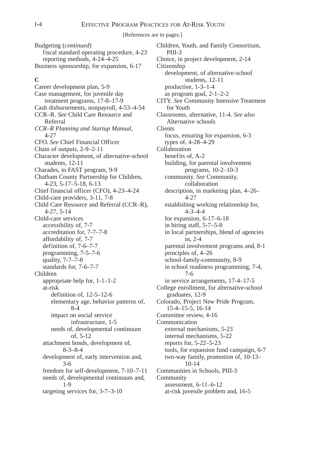Budgeting (*continued*) fiscal standard operating procedure, 4-23 reporting methods, 4-24–4-25 Business sponsorship, for expansion, 6-17

#### **C**

Career development plan, 5-9 Case management, for juvenile day treatment programs, 17-8–17-9 Cash disbursements, nonpayroll, 4-53–4-54 CCR–R. *See* Child Care Resource and Referral *CCR–R Planning and Startup Manual*, 4-27 CFO. *See* Chief Financial Officer Chain of outputs, 2-9–2-11 Character development, of alternative-school students, 12-11 Charades, in FAST program, 9-9 Chatham County Partnership for Children, 4-23, 5-17–5-18, 6-13 Chief financial officer (CFO), 4-23–4-24 Child-care providers, 3-11, 7-8 Child Care Resource and Referral (CCR–R), 4-27, 5-14 Child-care services accessibility of, 7-7 accreditation for, 7-7–7-8 affordability of, 7-7 definition of, 7-6–7-7 programming, 7-5–7-6 quality, 7-7–7-8 standards for, 7-6–7-7 Children appropriate help for, 1-1–1-2 at-risk definition of, 12-5–12-6 elementary age, behavior patterns of, 8-4 impact on social service infrastructure, 1-5 needs of, developmental continuum of, 5-12 attachment bonds, development of, 8-3–8-4 development of, early intervention and, 3-6 freedom for self-development, 7-10–7-11 needs of, developmental continuum and, 1-9 targeting services for, 3-7–3-10

Children, Youth, and Family Consortium, PIII-3 Choice, in project development, 2-14 Citizenship development, of alternative-school students, 12-11 productive, 1-3–1-4 as program goal, 2-1–2-2 CITY. *See* Community Intensive Treatment for Youth Classrooms, alternative, 11-4. *See also* Alternative schools Clients focus, ensuring for expansion, 6-3 types of, 4-28–4-29 Collaboration benefits of, A-2 building, for parental involvement programs, 10-2–10-3 community. *See* Community, collaboration description, in marketing plan, 4–26– 4-27 establishing working relationship for, 4-3–4-4 for expansion, 6-17–6-18 in hiring staff, 5-7–5-8 in local partnerships, blend of agencies in, 2-4 parental involvement programs and, 8-1 principles of, 4–26 school-family-community, 8-9 in school readiness programming, 7-4, 7-6 in service arrangements, 17-4–17-5 College enrollment, for alternative-school graduates, 12-9 Colorado, Project New Pride Program, 15-4–15-5, 16-14 Committee review, 4-16 Communication external mechanisms, 5-23 internal mechanisms, 5-22 reports for, 5-22–5-23 tools, for expansion fund campaign, 6-7 two-way family, promotion of, 10-13– 10-14 Communities in Schools, PIII-3 Community assessment, 6-11–6-12 at-risk juvenile problem and, 16-5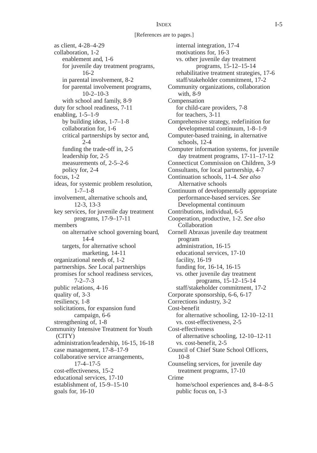as client, 4-28–4-29 collaboration, 1-2 enablement and, 1-6 for juvenile day treatment programs, 16-2 in parental involvement, 8-2 for parental involvement programs, 10-2–10-3 with school and family, 8-9 duty for school readiness, 7-11 enabling, 1-5–1-9 by building ideas, 1-7–1-8 collaboration for, 1-6 critical partnerships by sector and, 2-4 funding the trade-off in, 2-5 leadership for, 2-5 measurements of, 2-5–2-6 policy for, 2-4 focus, 1-2 ideas, for systemic problem resolution, 1-7–1-8 involvement, alternative schools and, 12-3, 13-3 key services, for juvenile day treatment programs, 17-9–17-11 members on alternative school governing board, 14-4 targets, for alternative school marketing, 14-11 organizational needs of, 1-2 partnerships. *See* Local partnerships promises for school readiness services, 7-2–7-3 public relations, 4-16 quality of, 3-3 resiliency, 1-8 solicitations, for expansion fund campaign, 6-6 strengthening of, 1-8 Community Intensive Treatment for Youth (CITY) administration/leadership, 16-15, 16-18 case management, 17-8–17-9 collaborative service arrangements, 17-4–17-5 cost-effectiveness, 15-2 educational services, 17-10 establishment of, 15-9–15-10 goals for, 16-10

internal integration, 17-4 motivations for, 16-3 vs. other juvenile day treatment programs, 15-12–15-14 rehabilitative treatment strategies, 17-6 staff/stakeholder commitment, 17-2 Community organizations, collaboration with, 8-9 Compensation for child-care providers, 7-8 for teachers, 3-11 Comprehensive strategy, redefinition for developmental continuum, 1-8–1-9 Computer-based training, in alternative schools, 12-4 Computer information systems, for juvenile day treatment programs, 17-11–17-12 Connecticut Commission on Children, 3-9 Consultants, for local partnership, 4-7 Continuation schools, 11-4. *See also* Alternative schools Continuum of developmentally appropriate performance-based services. *See* Developmental continuum Contributions, individual, 6-5 Cooperation, productive, 1-2. *See also* Collaboration Cornell Abraxas juvenile day treatment program administration, 16-15 educational services, 17-10 facility, 16-19 funding for, 16-14, 16-15 vs. other juvenile day treatment programs, 15-12–15-14 staff/stakeholder commitment, 17-2 Corporate sponsorship, 6-6, 6-17 Corrections industry, 3-2 Cost-benefit for alternative schooling, 12-10–12-11 vs. cost-effectiveness, 2-5 Cost-effectiveness of alternative schooling, 12-10–12-11 vs. cost-benefit, 2-5 Council of Chief State School Officers, 10-8 Counseling services, for juvenile day treatment programs, 17-10 Crime home/school experiences and, 8-4–8-5 public focus on, 1-3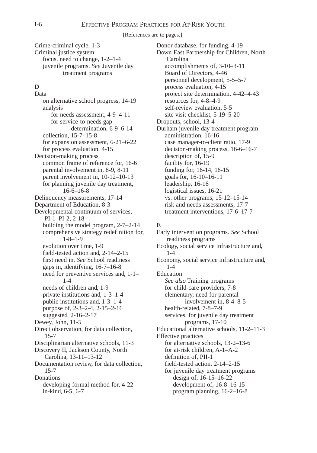Crime-criminal cycle, 1-3 Criminal justice system focus, need to change, 1-2–1-4 juvenile programs. *See* Juvenile day treatment programs

#### **D** Data

on alternative school progress, 14-19 analysis for needs assessment, 4-9–4-11 for service-to-needs gap determination, 6-9–6-14 collection, 15-7–15-8 for expansion assessment, 6-21–6-22 for process evaluation, 4-15 Decision-making process common frame of reference for, 16-6 parental involvement in, 8-9, 8-11 parent involvement in, 10-12–10-13 for planning juvenile day treatment, 16-6–16-8 Delinquency measurements, 17-14 Department of Education, 8-3 Developmental continuum of services, PI-1–PI-2, 2-18 building the model program, 2-7–2-14 comprehensive strategy redefinition for, 1-8–1-9 evolution over time, 1-9 field-tested action and, 2-14–2-15 first need in. *See* School readiness gaps in, identifying, 16-7–16-8 need for preventive services and, 1-1–  $1 - 4$ needs of children and, 1-9 private institutions and, 1-3–1-4 public institutions and, 1-3–1-4 purpose of, 2-3–2-4, 2-15–2-16 suggested, 2-16–2-17 Dewey, John, 11-5 Direct observation, for data collection, 15-7 Disciplinarian alternative schools, 11-3 Discovery II, Jackson County, North Carolina, 13-11–13-12 Documentation review, for data collection, 15-7 Donations developing formal method for, 4-22 in-kind, 6-5, 6-7

Donor database, for funding, 4-19 Down East Partnership for Children, North Carolina accomplishments of, 3-10–3-11 Board of Directors, 4-46 personnel development, 5-5–5-7 process evaluation, 4-15 project site determination, 4-42–4-43 resources for, 4-8–4-9 self-review evaluation, 5-5 site visit checklist, 5-19–5-20 Dropouts, school, 13-4 Durham juvenile day treatment program administration, 16-16 case manager-to-client ratio, 17-9 decision-making process, 16-6–16-7 description of, 15-9 facility for, 16-19 funding for, 16-14, 16-15 goals for, 16-10–16-11 leadership, 16-16 logistical issues, 16-21 vs. other programs, 15-12–15-14 risk and needs assessments, 17-7 treatment interventions, 17-6–17-7

#### **E**

Early intervention programs. *See* School readiness programs Ecology, social service infrastructure and, 1-4 Economy, social service infrastructure and, 1-4 Education *See also* Training programs for child-care providers, 7-8 elementary, need for parental involvement in, 8-4–8-5 health-related, 7-8–7-9 services, for juvenile day treatment programs, 17-10 Educational alternative schools, 11-2–11-3 Effective practices for alternative schools, 13-2–13-6 for at-risk children, A-1–A-2 definition of, PII-1 field-tested action, 2-14–2-15 for juvenile day treatment programs design of, 16-15–16-22 development of, 16-8–16-15 program planning, 16-2–16-8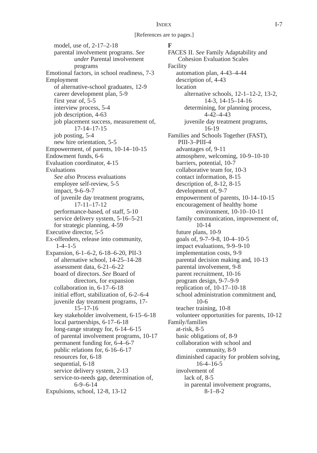model, use of, 2-17–2-18 parental involvement programs. *See under* Parental involvement programs Emotional factors, in school readiness, 7-3 Employment of alternative-school graduates, 12-9 career development plan, 5-9 first year of, 5-5 interview process, 5-4 job description, 4-63 job placement success, measurement of, 17-14–17-15 job posting, 5-4 new hire orientation, 5-5 Empowerment, of parents, 10-14–10-15 Endowment funds, 6-6 Evaluation coordinator, 4-15 Evaluations *See also* Process evaluations employee self-review, 5-5 impact, 9-6–9-7 of juvenile day treatment programs, 17-11–17-12 performance-based, of staff, 5-10 service delivery system, 5-16–5-21 for strategic planning, 4-59 Executive director, 5-5 Ex-offenders, release into community,  $1-4-1-5$ Expansion, 6-1–6-2, 6-18–6-20, PII-3 of alternative school, 14-25–14-28 assessment data, 6-21–6-22 board of directors. *See* Board of directors, for expansion collaboration in, 6-17–6-18 initial effort, stabilization of, 6-2–6-4 juvenile day treatment programs, 17- 15–17-16 key stakeholder involvement, 6-15–6-18 local partnerships, 6-17–6-18 long-range strategy for, 6-14–6-15 of parental involvement programs, 10-17 permanent funding for, 6-4–6-7 public relations for, 6-16–6-17 resources for, 6-18 sequential, 6-18 service delivery system, 2-13 service-to-needs gap, determination of, 6-9–6-14 Expulsions, school, 12-8, 13-12

#### **F**

FACES II. *See* Family Adaptability and Cohesion Evaluation Scales Facility automation plan, 4-43–4-44 description of, 4-43 location alternative schools, 12-1–12-2, 13-2, 14-3, 14-15–14-16 determining, for planning process, 4-42–4-43 juvenile day treatment programs, 16-19 Families and Schools Together (FAST), PIII-3–PIII-4 advantages of, 9-11 atmosphere, welcoming, 10-9–10-10 barriers, potential, 10-7 collaborative team for, 10-3 contact information, 8-15 description of, 8-12, 8-15 development of, 9-7 empowerment of parents, 10-14–10-15 encouragement of healthy home environment, 10-10–10-11 family communication, improvement of, 10-14 future plans, 10-9 goals of, 9-7–9-8, 10-4–10-5 impact evaluations, 9-9–9-10 implementation costs, 9-9 parental decision making and, 10-13 parental involvement, 9-8 parent recruitment, 10-16 program design, 9-7–9-9 replication of, 10-17–10-18 school administration commitment and, 10-6 teacher training, 10-8 volunteer opportunities for parents, 10-12 Family/families at-risk, 8-5 basic obligations of, 8-9 collaboration with school and community, 8-9 diminished capacity for problem solving, 16-4–16-5 involvement of lack of, 8-5 in parental involvement programs, 8-1–8-2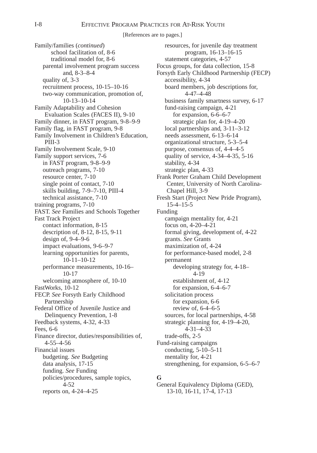Family/families (*continued*) school facilitation of, 8-6 traditional model for, 8-6 parental involvement program success and, 8-3–8-4 quality of, 3-3 recruitment process, 10-15–10-16 two-way communication, promotion of, 10-13–10-14 Family Adaptability and Cohesion Evaluation Scales (FACES II), 9-10 Family dinner, in FAST program, 9-8–9-9 Family flag, in FAST program, 9-8 Family Involvement in Children's Education, PIII-3 Family Involvement Scale, 9-10 Family support services, 7-6 in FAST program, 9-8–9-9 outreach programs, 7-10 resource center, 7-10 single point of contact, 7-10 skills building, 7-9–7-10, PIII-4 technical assistance, 7-10 training programs, 7-10 FAST. *See* Families and Schools Together Fast Track Project contact information, 8-15 description of, 8-12, 8-15, 9-11 design of, 9-4–9-6 impact evaluations, 9-6–9-7 learning opportunities for parents, 10-11–10-12 performance measurements, 10-16– 10-17 welcoming atmosphere of, 10-10 FastWorks, 10-12 FECP. *See* Forsyth Early Childhood Partnership Federal Office of Juvenile Justice and Delinquency Prevention, 1-8 Feedback systems, 4-32, 4-33 Fees, 6-6 Finance director, duties/responsibilities of, 4-55–4-56 Financial issues budgeting. *See* Budgeting data analysis, 17-15 funding. *See* Funding policies/procedures, sample topics, 4-52 reports on, 4-24–4-25

resources, for juvenile day treatment program, 16-13–16-15 statement categories, 4-57 Focus groups, for data collection, 15-8 Forsyth Early Childhood Partnership (FECP) accessibility, 4-34 board members, job descriptions for, 4-47–4-48 business family smartness survey, 6-17 fund-raising campaign, 4-21 for expansion, 6-6–6-7 strategic plan for, 4-19–4-20 local partnerships and, 3-11–3-12 needs assessment, 6-13–6-14 organizational structure, 5-3–5-4 purpose, consensus of, 4-4–4-5 quality of service, 4-34–4-35, 5-16 stability, 4-34 strategic plan, 4-33 Frank Porter Graham Child Development Center, University of North Carolina-Chapel Hill, 3-9 Fresh Start (Project New Pride Program), 15-4–15-5 Funding campaign mentality for, 4-21 focus on, 4-20–4-21 formal giving, development of, 4-22 grants. *See* Grants maximization of, 4-24 for performance-based model, 2-8 permanent developing strategy for, 4-18– 4-19 establishment of, 4-12 for expansion, 6-4–6-7 solicitation process for expansion, 6-6 review of, 6-4–6-5 sources, for local partnerships, 4-58 strategic planning for, 4-19–4-20, 4-31–4-33 trade-offs, 2-5 Fund-raising campaigns conducting, 5-10–5-11 mentality for, 4-21 strengthening, for expansion, 6-5–6-7

#### **G**

General Equivalency Diploma (GED), 13-10, 16-11, 17-4, 17-13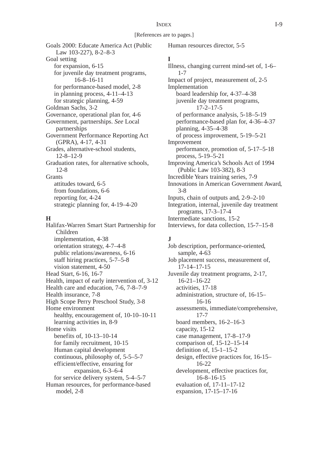Goals 2000: Educate America Act (Public Law 103-227), 8-2–8-3 Goal setting for expansion, 6-15 for juvenile day treatment programs, 16-8–16-11 for performance-based model, 2-8 in planning process, 4-11–4-13 for strategic planning, 4-59 Goldman Sachs, 3-2 Governance, operational plan for, 4-6 Government, partnerships. *See* Local partnerships Government Performance Reporting Act (GPRA), 4-17, 4-31 Grades, alternative-school students, 12-8–12-9 Graduation rates, for alternative schools, 12-8 **Grants** attitudes toward, 6-5 from foundations, 6-6 reporting for, 4-24 strategic planning for, 4-19–4-20

#### **H**

Halifax-Warren Smart Start Partnership for Children implementation, 4-38 orientation strategy, 4-7–4-8 public relations/awareness, 6-16 staff hiring practices, 5-7–5-8 vision statement, 4-50 Head Start, 6-16, 16-7 Health, impact of early intervention of, 3-12 Health care and education, 7-6, 7-8–7-9 Health insurance, 7-8 High Scope Perry Preschool Study, 3-8 Home environment healthy, encouragement of, 10-10–10-11 learning activities in, 8-9 Home visits benefits of, 10-13–10-14 for family recruitment, 10-15 Human capital development continuous, philosophy of, 5-5–5-7 efficient/effective, ensuring for expansion, 6-3–6-4 for service delivery system, 5-4–5-7 Human resources, for performance-based model, 2-8

Human resources director, 5-5

#### **I**

Illness, changing current mind-set of, 1-6– 1-7 Impact of project, measurement of, 2-5 Implementation board leadership for, 4-37–4-38 juvenile day treatment programs, 17-2–17-5 of performance analysis, 5-18–5-19 performance-based plan for, 4-36–4-37 planning, 4-35–4-38 of process improvement, 5-19–5-21 Improvement performance, promotion of, 5-17–5-18 process, 5-19–5-21 Improving America's Schools Act of 1994 (Public Law 103-382), 8-3 Incredible Years training series, 7-9 Innovations in American Government Award, 3-8 Inputs, chain of outputs and, 2-9–2-10 Integration, internal, juvenile day treatment programs, 17-3–17-4 Intermediate sanctions, 15-2 Interviews, for data collection, 15-7–15-8

#### **J**

Job description, performance-oriented, sample, 4-63 Job placement success, measurement of, 17-14–17-15 Juvenile day treatment programs, 2-17, 16-21–16-22 activities, 17-18 administration, structure of, 16-15– 16-16 assessments, immediate/comprehensive, 17-7 board members, 16-2–16-3 capacity, 15-12 case management, 17-8–17-9 comparison of, 15-12–15-14 definition of, 15-1–15-2 design, effective practices for, 16-15– 16-22 development, effective practices for, 16-8–16-15 evaluation of, 17-11–17-12 expansion, 17-15–17-16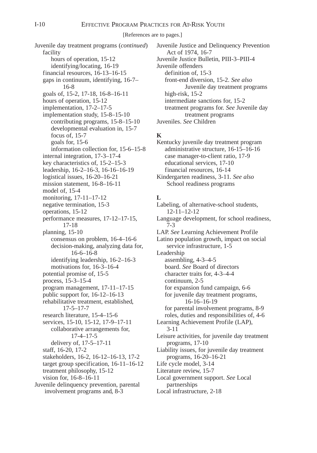Juvenile day treatment programs (*continued*) facility hours of operation, 15-12 identifying/locating, 16-19 financial resources, 16-13–16-15 gaps in continuum, identifying, 16-7– 16-8 goals of, 15-2, 17-18, 16-8–16-11 hours of operation, 15-12 implementation, 17-2–17-5 implementation study, 15-8–15-10 contributing programs, 15-8–15-10 developmental evaluation in, 15-7 focus of, 15-7 goals for, 15-6 information collection for, 15-6–15-8 internal integration, 17-3–17-4 key characteristics of, 15-2–15-3 leadership, 16-2–16-3, 16-16–16-19 logistical issues, 16-20–16-21 mission statement, 16-8–16-11 model of, 15-4 monitoring, 17-11–17-12 negative termination, 15-3 operations, 15-12 performance measures, 17-12–17-15, 17-18 planning, 15-10 consensus on problem, 16-4–16-6 decision-making, analyzing data for, 16-6–16-8 identifying leadership, 16-2–16-3 motivations for, 16-3–16-4 potential promise of, 15-5 process, 15-3–15-4 program management, 17-11–17-15 public support for, 16-12–16-13 rehabilitative treatment, established, 17-5–17-7 research literature, 15-4–15-6 services, 15-10, 15-12, 17-9–17-11 collaborative arrangements for, 17-4–17-5 delivery of, 17-5–17-11 staff, 16-20, 17-2 stakeholders, 16-2, 16-12–16-13, 17-2 target group specification, 16-11–16-12 treatment philosophy, 15-12 vision for, 16-8–16-11 Juvenile delinquency prevention, parental involvement programs and, 8-3

Juvenile Justice and Delinquency Prevention Act of 1974, 16-7 Juvenile Justice Bulletin, PIII-3–PIII-4 Juvenile offenders definition of, 15-3 front-end diversion, 15-2. *See also* Juvenile day treatment programs high-risk, 15-2 intermediate sanctions for, 15-2 treatment programs for. *See* Juvenile day treatment programs Juveniles. *See* Children

#### **K**

Kentucky juvenile day treatment program administrative structure, 16-15–16-16 case manager-to-client ratio, 17-9 educational services, 17-10 financial resources, 16-14 Kindergarten readiness, 3-11. *See also* School readiness programs

#### **L**

Labeling, of alternative-school students, 12-11–12-12 Language development, for school readiness, 7-3 LAP. *See* Learning Achievement Profile Latino population growth, impact on social service infrastructure, 1-5 Leadership assembling, 4-3–4-5 board. *See* Board of directors character traits for, 4-3–4-4 continuum, 2-5 for expansion fund campaign, 6-6 for juvenile day treatment programs, 16-16–16-19 for parental involvement programs, 8-9 roles, duties and responsibilities of, 4-6 Learning Achievement Profile (LAP), 3-11 Leisure activities, for juvenile day treatment programs, 17-10 Liability issues, for juvenile day treatment programs, 16-20–16-21 Life cycle model, 3-14 Literature review, 15-7 Local government support. *See* Local partnerships Local infrastructure, 2-18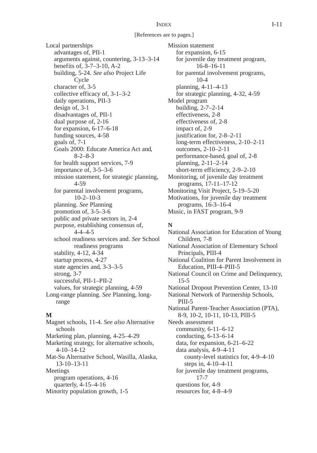Local partnerships advantages of, PII-1 arguments against, countering, 3-13–3-14 benefits of, 3-7–3-10, A-2 building, 5-24. *See also* Project Life Cycle character of, 3-5 collective efficacy of, 3-1–3-2 daily operations, PII-3 design of, 3-1 disadvantages of, PII-1 dual purpose of, 2-16 for expansion, 6-17–6-18 funding sources, 4-58 goals of, 7-1 Goals 2000: Educate America Act and, 8-2–8-3 for health support services, 7-9 importance of, 3-5–3-6 mission statement, for strategic planning, 4-59 for parental involvement programs, 10-2–10-3 planning. *See* Planning promotion of, 3-5–3-6 public and private sectors in, 2-4 purpose, establishing consensus of, 4-4–4-5 school readiness services and. *See* School readiness programs stability, 4-12, 4-34 startup process, 4-27 state agencies and, 3-3–3-5 strong, 3-7 successful, PII-1–PII-2 values, for strategic planning, 4-59 Long-range planning. *See* Planning, longrange

#### **M**

Magnet schools, 11-4. *See also* Alternative schools Marketing plan, planning, 4-25–4-29 Marketing strategy, for alternative schools, 4-10–14-12 Mat-Su Alternative School, Wasilla, Alaska, 13-10–13-11 Meetings program operations, 4-16 quarterly, 4-15–4-16 Minority population growth, 1-5

Mission statement for expansion, 6-15 for juvenile day treatment program, 16-8–16-11 for parental involvement programs, 10-4 planning, 4-11–4-13 for strategic planning, 4-32, 4-59 Model program building, 2-7–2-14 effectiveness, 2-8 effectiveness of, 2-8 impact of, 2-9 justification for, 2-8–2-11 long-term effectiveness, 2-10–2-11 outcomes, 2-10–2-11 performance-based, goal of, 2-8 planning, 2-11–2-14 short-term efficiency, 2-9–2-10 Monitoring, of juvenile day treatment programs, 17-11–17-12 Monitoring Visit Project, 5-19–5-20 Motivations, for juvenile day treatment programs, 16-3–16-4 Music, in FAST program, 9-9

#### **N**

National Association for Education of Young Children, 7-8 National Association of Elementary School Principals, PIII-4 National Coalition for Parent Involvement in Education, PIII-4–PIII-5 National Council on Crime and Delinquency, 15-5 National Dropout Prevention Center, 13-10 National Network of Partnership Schools, PIII-5 National Parent-Teacher Association (PTA), 8-9, 10-2, 10-11, 10-13, PIII-5 Needs assessment community, 6-11–6-12 conducting, 6-13–6-14 data, for expansion, 6-21–6-22 data analysis, 4-9–4-11 county-level statistics for, 4-9–4-10 steps in, 4-10–4-11 for juvenile day treatment programs, 17-7 questions for, 4-9 resources for, 4-8–4-9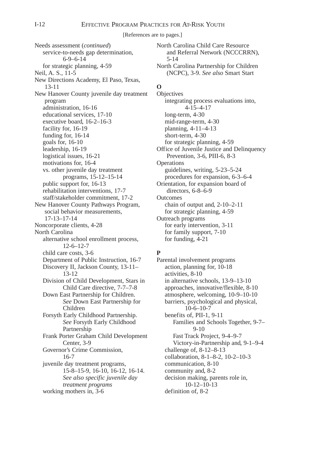Needs assessment (*continued*) service-to-needs gap determination, 6-9–6-14 for strategic planning, 4-59 Neil, A. S., 11-5 New Directions Academy, El Paso, Texas, 13-11 New Hanover County juvenile day treatment program administration, 16-16 educational services, 17-10 executive board, 16-2–16-3 facility for, 16-19 funding for, 16-14 goals for, 16-10 leadership, 16-19 logistical issues, 16-21 motivations for, 16-4 vs. other juvenile day treatment programs, 15-12–15-14 public support for, 16-13 rehabilitation interventions, 17-7 staff/stakeholder commitment, 17-2 New Hanover County Pathways Program, social behavior measurements, 17-13–17-14 Noncorporate clients, 4-28 North Carolina alternative school enrollment process, 12-6–12-7 child care costs, 3-6 Department of Public Instruction, 16-7 Discovery II, Jackson County, 13-11– 13-12 Division of Child Development, Stars in Child Care directive, 7-7–7-8 Down East Partnership for Children. *See* Down East Partnership for Children Forsyth Early Childhood Partnership. *See* Forsyth Early Childhood Partnership Frank Porter Graham Child Development Center, 3-9 Governor's Crime Commission, 16-7 juvenile day treatment programs, 15-8–15-9, 16-10, 16-12, 16-14. *See also specific juvenile day treatment programs* working mothers in, 3-6

North Carolina Child Care Resource and Referral Network (NCCCRRN), 5-14

North Carolina Partnership for Children (NCPC), 3-9. *See also* Smart Start

## **O**

**Objectives** integrating process evaluations into, 4-15–4-17 long-term, 4-30 mid-range-term, 4-30 planning, 4-11–4-13 short-term, 4-30 for strategic planning, 4-59 Office of Juvenile Justice and Delinquency Prevention, 3-6, PIII-6, 8-3 **Operations** guidelines, writing, 5-23–5-24 procedures for expansion, 6-3–6-4 Orientation, for expansion board of directors, 6-8–6-9 **Outcomes** chain of output and, 2-10–2-11 for strategic planning, 4-59 Outreach programs for early intervention, 3-11 for family support, 7-10 for funding, 4-21

#### **P**

Parental involvement programs action, planning for, 10-18 activities, 8-10 in alternative schools, 13-9–13-10 approaches, innovative/flexible, 8-10 atmosphere, welcoming, 10-9–10-10 barriers, psychological and physical, 10-6–10-7 benefits of, PII-1, 9-11 Families and Schools Together, 9-7– 9-10 Fast Track Project, 9-4–9-7 Victory-in-Partnership and, 9-1–9-4 challenge of, 8-12–8-13 collaboration, 8-1–8-2, 10-2–10-3 communication, 8-10 community and, 8-2 decision making, parents role in, 10-12–10-13 definition of, 8-2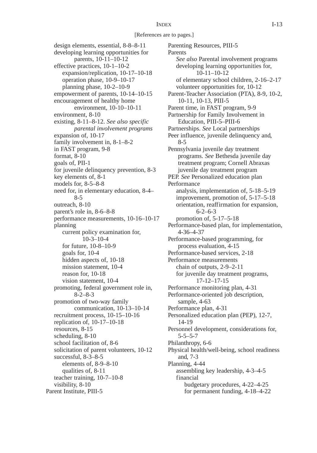design elements, essential, 8-8–8-11 developing learning opportunities for parents, 10-11–10-12 effective practices, 10-1–10-2 expansion/replication, 10-17–10-18 operation phase, 10-9–10-17 planning phase, 10-2–10-9 empowerment of parents, 10-14–10-15 encouragement of healthy home environment, 10-10–10-11 environment, 8-10 existing, 8-11–8-12. *See also specific parental involvement programs* expansion of, 10-17 family involvement in, 8-1–8-2 in FAST program, 9-8 format, 8-10 goals of, PII-1 for juvenile delinquency prevention, 8-3 key elements of, 8-1 models for, 8-5–8-8 need for, in elementary education, 8-4– 8-5 outreach, 8-10 parent's role in, 8-6–8-8 performance measurements, 10-16–10-17 planning current policy examination for, 10-3–10-4 for future, 10-8–10-9 goals for, 10-4 hidden aspects of, 10-18 mission statement, 10-4 reason for, 10-18 vision statement, 10-4 promoting, federal government role in, 8-2–8-3 promotion of two-way family communication, 10-13–10-14 recruitment process, 10-15–10-16 replication of, 10-17–10-18 resources, 8-15 scheduling, 8-10 school facilitation of, 8-6 solicitation of parent volunteers, 10-12 successful, 8-3–8-5 elements of, 8-9–8-10 qualities of, 8-11 teacher training, 10-7–10-8 visibility, 8-10 Parent Institute, PIII-5

Parenting Resources, PIII-5 Parents *See also* Parental involvement programs developing learning opportunities for, 10-11–10-12 of elementary school children, 2-16–2-17 volunteer opportunities for, 10-12 Parent-Teacher Association (PTA), 8-9, 10-2, 10-11, 10-13, PIII-5 Parent time, in FAST program, 9-9 Partnership for Family Involvement in Education, PIII-5–PIII-6 Partnerships. *See* Local partnerships Peer influence, juvenile delinquency and, 8-5 Pennsylvania juvenile day treatment programs. *See* Bethesda juvenile day treatment program; Cornell Abraxas juvenile day treatment program PEP. *See* Personalized education plan Performance analysis, implementation of, 5-18–5-19 improvement, promotion of, 5-17–5-18 orientation, reaffirmation for expansion, 6-2–6-3 promotion of, 5-17–5-18 Performance-based plan, for implementation, 4-36–4-37 Performance-based programming, for process evaluation, 4-15 Performance-based services, 2-18 Performance measurements chain of outputs, 2-9–2-11 for juvenile day treatment programs, 17-12–17-15 Performance monitoring plan, 4-31 Performance-oriented job description, sample, 4-63 Performance plan, 4-31 Personalized education plan (PEP), 12-7, 14-19 Personnel development, considerations for, 5-5–5-7 Philanthropy, 6-6 Physical health/well-being, school readiness and, 7-3 Planning, 4-44 assembling key leadership, 4-3–4-5 financial budgetary procedures, 4-22–4-25 for permanent funding, 4-18–4-22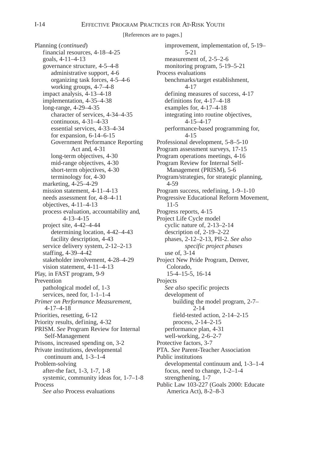Planning (*continued*) financial resources, 4-18–4-25 goals, 4-11–4-13 governance structure, 4-5–4-8 administrative support, 4-6 organizing task forces, 4-5–4-6 working groups, 4-7–4-8 impact analysis, 4-13–4-18 implementation, 4-35–4-38 long-range, 4-29–4-35 character of services, 4-34–4-35 continuous, 4-31–4-33 essential services, 4-33–4-34 for expansion, 6-14–6-15 Government Performance Reporting Act and, 4-31 long-term objectives, 4-30 mid-range objectives, 4-30 short-term objectives, 4-30 terminology for, 4-30 marketing, 4-25–4-29 mission statement, 4-11–4-13 needs assessment for, 4-8–4-11 objectives, 4-11–4-13 process evaluation, accountability and, 4-13–4-15 project site, 4-42–4-44 determining location, 4-42–4-43 facility description, 4-43 service delivery system, 2-12–2-13 staffing, 4-39–4-42 stakeholder involvement, 4-28–4-29 vision statement, 4-11–4-13 Play, in FAST program, 9-9 Prevention pathological model of, 1-3 services, need for, 1-1–1-4 *Primer on Performance Measurement*, 4-17–4-18 Priorities, resetting, 6-12 Priority results, defining, 4-32 PRISM. *See* Program Review for Internal Self-Management Prisons, increased spending on, 3-2 Private institutions, developmental continuum and, 1-3–1-4 Problem-solving after-the fact, 1-3, 1-7, 1-8 systemic, community ideas for, 1-7–1-8 Process *See also* Process evaluations

improvement, implementation of, 5-19– 5-21 measurement of, 2-5–2-6 monitoring program, 5-19–5-21 Process evaluations benchmarks/target establishment, 4-17 defining measures of success, 4-17 definitions for, 4-17–4-18 examples for, 4-17–4-18 integrating into routine objectives, 4-15–4-17 performance-based programming for, 4-15 Professional development, 5-8–5-10 Program assessment surveys, 17-15 Program operations meetings, 4-16 Program Review for Internal Self-Management (PRISM), 5-6 Program/strategies, for strategic planning, 4-59 Program success, redefining, 1-9–1-10 Progressive Educational Reform Movement, 11-5 Progress reports, 4-15 Project Life Cycle model cyclic nature of, 2-13–2-14 description of, 2-19–2-22 phases, 2-12–2-13, PII-2. *See also specific project phases* use of, 3-14 Project New Pride Program, Denver, Colorado, 15-4–15-5, 16-14 Projects *See also* specific projects development of building the model program, 2-7– 2-14 field-tested action, 2-14–2-15 process, 2-14–2-15 performance plan, 4-31 well-working, 2-6–2-7 Protective factors, 3-7 PTA. *See* Parent-Teacher Association Public institutions developmental continuum and, 1-3–1-4 focus, need to change, 1-2–1-4 strengthening, 1-7 Public Law 103-227 (Goals 2000: Educate America Act), 8-2–8-3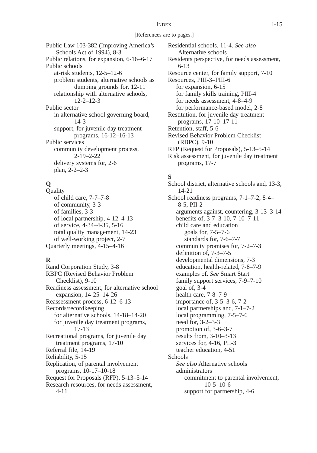Public Law 103-382 (Improving America's Schools Act of 1994), 8-3 Public relations, for expansion, 6-16–6-17 Public schools at-risk students, 12-5–12-6 problem students, alternative schools as dumping grounds for, 12-11 relationship with alternative schools, 12-2–12-3 Public sector in alternative school governing board, 14-3 support, for juvenile day treatment programs, 16-12–16-13 Public services community development process, 2-19–2-22 delivery systems for, 2-6 plan, 2-2–2-3

#### **Q**

**Quality** of child care, 7-7–7-8 of community, 3-3 of families, 3-3 of local partnership, 4-12–4-13 of service, 4-34–4-35, 5-16 total quality management, 14-23 of well-working project, 2-7 Quarterly meetings, 4-15–4-16

#### **R**

Rand Corporation Study, 3-8 RBPC (Revised Behavior Problem Checklist), 9-10 Readiness assessment, for alternative school expansion, 14-25–14-26 Reassessment process, 6-12–6-13 Records/recordkeeping for alternative schools, 14-18–14-20 for juvenile day treatment programs, 17-13 Recreational programs, for juvenile day treatment programs, 17-10 Referral file, 14-19 Reliability, 5-15 Replication, of parental involvement programs, 10-17–10-18 Request for Proposals (RFP), 5-13–5-14 Research resources, for needs assessment, 4-11

Residential schools, 11-4. *See also* Alternative schools Residents perspective, for needs assessment, 6-13 Resource center, for family support, 7-10 Resources, PIII-3–PIII-6 for expansion, 6-15 for family skills training, PIII-4 for needs assessment, 4-8–4-9 for performance-based model, 2-8 Restitution, for juvenile day treatment programs, 17-10–17-11 Retention, staff, 5-6 Revised Behavior Problem Checklist (RBPC), 9-10 RFP (Request for Proposals), 5-13–5-14 Risk assessment, for juvenile day treatment programs, 17-7

#### **S**

School district, alternative schools and, 13-3, 14-21 School readiness programs, 7-1–7-2, 8-4– 8-5, PII-2 arguments against, countering, 3-13–3-14 benefits of, 3-7–3-10, 7-10–7-11 child care and education goals for, 7-5–7-6 standards for, 7-6–7-7 community promises for, 7-2–7-3 definition of, 7-3–7-5 developmental dimensions, 7-3 education, health-related, 7-8–7-9 examples of. *See* Smart Start family support services, 7-9–7-10 goal of, 3-4 health care, 7-8–7-9 importance of, 3-5–3-6, 7-2 local partnerships and, 7-1–7-2 local programming, 7-5–7-6 need for, 3-2–3-3 promotion of, 3-6–3-7 results from, 3-10–3-13 services for, 4-16, PII-3 teacher education, 4-51 Schools *See also* Alternative schools administrators commitment to parental involvement, 10-5–10-6 support for partnership, 4-6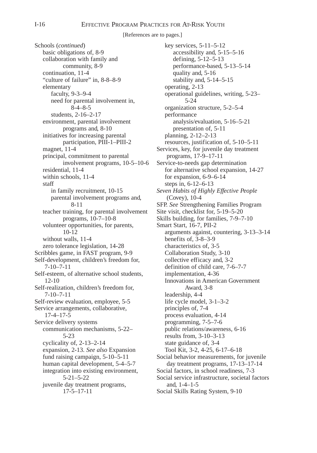Schools (*continued*) basic obligations of, 8-9 collaboration with family and community, 8-9 continuation, 11-4 "culture of failure" in, 8-8–8-9 elementary faculty, 9-3–9-4 need for parental involvement in, 8-4–8-5 students, 2-16–2-17 environment, parental involvement programs and, 8-10 initiatives for increasing parental participation, PIII-1–PIII-2 magnet, 11-4 principal, commitment to parental involvement programs, 10-5–10-6 residential, 11-4 within schools, 11-4 staff in family recruitment, 10-15 parental involvement programs and, 8-11 teacher training, for parental involvement programs, 10-7–10-8 volunteer opportunities, for parents, 10-12 without walls, 11-4 zero tolerance legislation, 14-28 Scribbles game, in FAST program, 9-9 Self-development, children's freedom for, 7-10–7-11 Self-esteem, of alternative school students, 12-10 Self-realization, children's freedom for, 7-10–7-11 Self-review evaluation, employee, 5-5 Service arrangements, collaborative, 17-4–17-5 Service delivery systems communication mechanisms, 5-22– 5-23 cyclicality of, 2-13–2-14 expansion, 2-13. *See also* Expansion fund raising campaign, 5-10–5-11 human capital development, 5-4–5-7 integration into existing environment, 5-21–5-22 juvenile day treatment programs, 17-5–17-11

key services, 5-11–5-12 accessibility and, 5-15–5-16 defining, 5-12–5-13 performance-based, 5-13–5-14 quality and, 5-16 stability and, 5-14–5-15 operating, 2-13 operational guidelines, writing, 5-23– 5-24 organization structure, 5-2–5-4 performance analysis/evaluation, 5-16–5-21 presentation of, 5-11 planning, 2-12–2-13 resources, justification of, 5-10–5-11 Services, key, for juvenile day treatment programs, 17-9–17-11 Service-to-needs gap determination for alternative school expansion, 14-27 for expansion, 6-9–6-14 steps in, 6-12–6-13 *Seven Habits of Highly Effective People* (Covey), 10-4 SFP. *See* Strengthening Families Program Site visit, checklist for, 5-19–5-20 Skills building, for families, 7-9–7-10 Smart Start, 16-7, PII-2 arguments against, countering, 3-13–3-14 benefits of, 3-8–3-9 characteristics of, 3-5 Collaboration Study, 3-10 collective efficacy and, 3-2 definition of child care, 7-6–7-7 implementation, 4-36 Innovations in American Government Award, 3-8 leadership, 4-4 life cycle model, 3-1–3-2 principles of, 7-4 process evaluation, 4-14 programming, 7-5–7-6 public relations/awareness, 6-16 results from, 3-10–3-13 state guidance of, 3-4 Tool Kit, 3-2, 4-25, 6-17–6-18 Social behavior measurements, for juvenile day treatment programs, 17-13–17-14 Social factors, in school readiness, 7-3 Social service infrastructure, societal factors and, 1-4–1-5 Social Skills Rating System, 9-10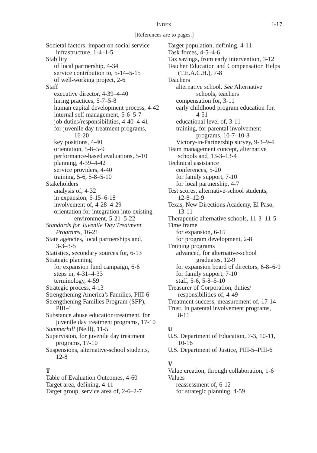Societal factors, impact on social service infrastructure, 1-4–1-5 Stability of local partnership, 4-34 service contribution to, 5-14–5-15 of well-working project, 2-6 Staff executive director, 4-39–4-40 hiring practices, 5-7–5-8 human capital development process, 4-42 internal self management, 5-6–5-7 job duties/responsibilities, 4-40–4-41 for juvenile day treatment programs, 16-20 key positions, 4-40 orientation, 5-8–5-9 performance-based evaluations, 5-10 planning, 4-39–4-42 service providers, 4-40 training, 5-6, 5-8–5-10 Stakeholders analysis of, 4-32 in expansion, 6-15–6-18 involvement of, 4-28–4-29 orientation for integration into existing environment, 5-21–5-22 *Standards for Juvenile Day Treatment Programs*, 16-21 State agencies, local partnerships and, 3-3–3-5 Statistics, secondary sources for, 6-13 Strategic planning for expansion fund campaign, 6-6 steps in, 4-31–4-33 terminology, 4-59 Strategic process, 4-13 Strengthening America's Families, PIII-6 Strengthening Families Program (SFP), PIII-4 Substance abuse education/treatment, for juvenile day treatment programs, 17-10 *Summerhill* (Neill), 11-5 Supervision, for juvenile day treatment programs, 17-10 Suspensions, alternative-school students, 12-8

#### **T**

Table of Evaluation Outcomes, 4-60 Target area, defining, 4-11 Target group, service area of, 2-6–2-7 Target population, defining, 4-11 Task forces, 4-5–4-6 Tax savings, from early intervention, 3-12 Teacher Education and Compensation Helps (T.E.A.C.H.), 7-8 Teachers alternative school. *See* Alternative schools, teachers compensation for, 3-11 early childhood program education for, 4-51 educational level of, 3-11 training, for parental involvement programs, 10-7–10-8 Victory-in-Partnership survey, 9-3–9-4 Team management concept, alternative schools and, 13-3–13-4 Technical assistance conferences, 5-20 for family support, 7-10 for local partnership, 4-7 Test scores, alternative-school students, 12-8–12-9 Texas, New Directions Academy, El Paso, 13-11 Therapeutic alternative schools, 11-3–11-5 Time frame for expansion, 6-15 for program development, 2-8 Training programs advanced, for alternative-school graduates, 12-9 for expansion board of directors, 6-8–6-9 for family support, 7-10 staff, 5-6, 5-8–5-10 Treasurer of Corporation, duties/ responsibilities of, 4-49 Treatment success, measurement of, 17-14 Trust, in parental involvement programs, 8-11

#### **U**

U.S. Department of Education, 7-3, 10-11, 10-16

U.S. Department of Justice, PIII-5–PIII-6

#### **V**

Value creation, through collaboration, 1-6 Values

reassessment of, 6-12 for strategic planning, 4-59